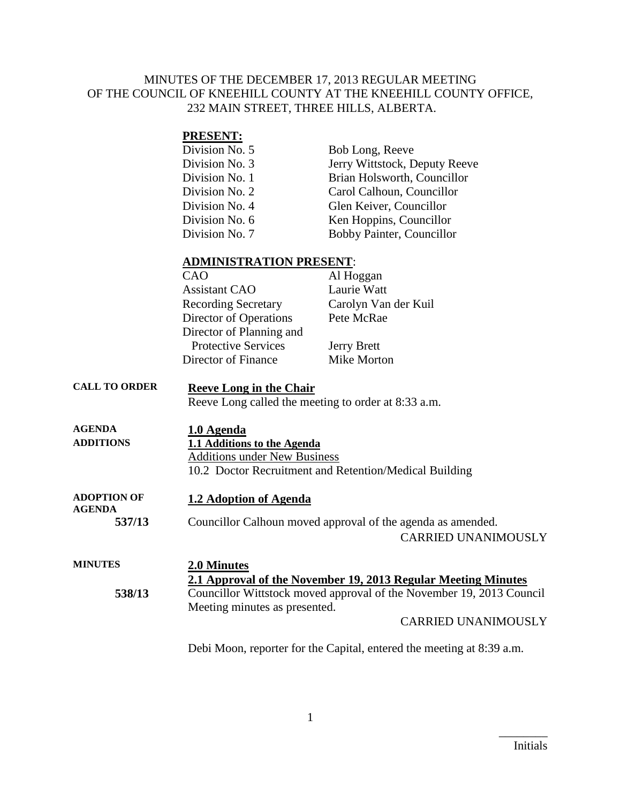#### MINUTES OF THE DECEMBER 17, 2013 REGULAR MEETING OF THE COUNCIL OF KNEEHILL COUNTY AT THE KNEEHILL COUNTY OFFICE, 232 MAIN STREET, THREE HILLS, ALBERTA.

#### **PRESENT:**

| Division No. 5 | Bob Long, Reeve               |
|----------------|-------------------------------|
| Division No. 3 | Jerry Wittstock, Deputy Reeve |
| Division No. 1 | Brian Holsworth, Councillor   |
| Division No. 2 | Carol Calhoun, Councillor     |
| Division No. 4 | Glen Keiver, Councillor       |
| Division No. 6 | Ken Hoppins, Councillor       |
| Division No. 7 | Bobby Painter, Councillor     |

#### **ADMINISTRATION PRESENT**:

| CAO                        |                          | Al Hoggan            |
|----------------------------|--------------------------|----------------------|
| <b>Assistant CAO</b>       |                          | Laurie Watt          |
| <b>Recording Secretary</b> |                          | Carolyn Van der Kuil |
| Director of Operations     |                          | Pete McRae           |
|                            | Director of Planning and |                      |
| <b>Protective Services</b> |                          | <b>Jerry Brett</b>   |
| Director of Finance        |                          | Mike Morton          |
|                            |                          |                      |

# **CALL TO ORDER Reeve Long in the Chair**

Reeve Long called the meeting to order at 8:33 a.m.

| <b>AGENDA</b><br><b>ADDITIONS</b> | 1.0 Agenda<br>1.1 Additions to the Agenda<br><b>Additions under New Business</b><br>10.2 Doctor Recruitment and Retention/Medical Building |
|-----------------------------------|--------------------------------------------------------------------------------------------------------------------------------------------|
| ADOPTION OF                       | 1.2 Adoption of Agenda                                                                                                                     |
| <b>AGENDA</b>                     | Councillor Calhoun moved approval of the agenda as amended.                                                                                |
| 537/13                            | <b>CARRIED UNANIMOUSLY</b>                                                                                                                 |

#### **MINUTES 2.0 Minutes 2.1 Approval of the November 19, 2013 Regular Meeting Minutes 538/13** Councillor Wittstock moved approval of the November 19, 2013 Council Meeting minutes as presented. CARRIED UNANIMOUSLY

Debi Moon, reporter for the Capital, entered the meeting at 8:39 a.m.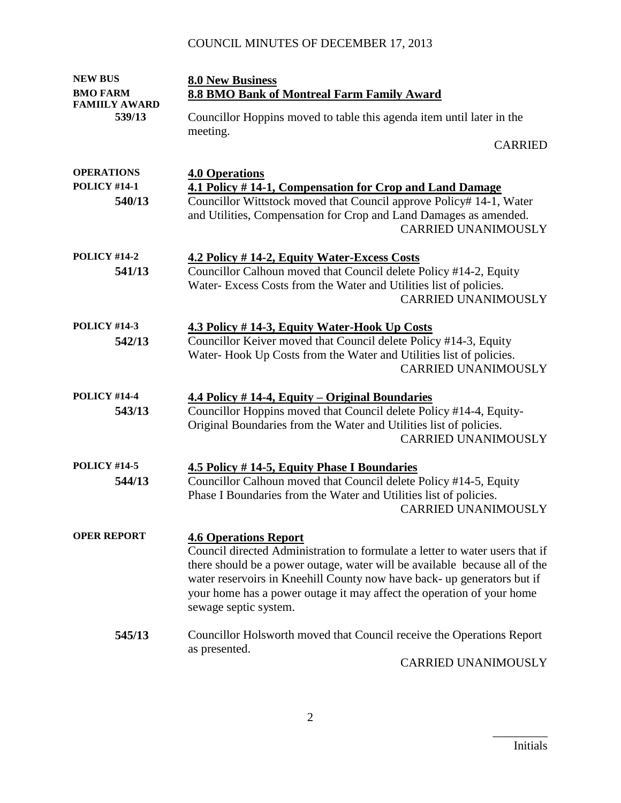| <b>NEW BUS</b>                                     | <b>8.0 New Business</b>                                                                                                                                                                                                                                                                                                                                                 |
|----------------------------------------------------|-------------------------------------------------------------------------------------------------------------------------------------------------------------------------------------------------------------------------------------------------------------------------------------------------------------------------------------------------------------------------|
| <b>BMO FARM</b>                                    | 8.8 BMO Bank of Montreal Farm Family Award                                                                                                                                                                                                                                                                                                                              |
| <b>FAMIILY AWARD</b><br>539/13                     | Councillor Hoppins moved to table this agenda item until later in the<br>meeting.                                                                                                                                                                                                                                                                                       |
|                                                    | <b>CARRIED</b>                                                                                                                                                                                                                                                                                                                                                          |
| <b>OPERATIONS</b><br><b>POLICY #14-1</b><br>540/13 | <b>4.0 Operations</b><br>4.1 Policy #14-1, Compensation for Crop and Land Damage<br>Councillor Wittstock moved that Council approve Policy# 14-1, Water<br>and Utilities, Compensation for Crop and Land Damages as amended.<br><b>CARRIED UNANIMOUSLY</b>                                                                                                              |
| <b>POLICY #14-2</b><br>541/13                      | 4.2 Policy # 14-2, Equity Water-Excess Costs<br>Councillor Calhoun moved that Council delete Policy #14-2, Equity<br>Water-Excess Costs from the Water and Utilities list of policies.<br><b>CARRIED UNANIMOUSLY</b>                                                                                                                                                    |
| <b>POLICY #14-3</b><br>542/13                      | 4.3 Policy #14-3, Equity Water-Hook Up Costs<br>Councillor Keiver moved that Council delete Policy #14-3, Equity<br>Water-Hook Up Costs from the Water and Utilities list of policies.<br><b>CARRIED UNANIMOUSLY</b>                                                                                                                                                    |
| <b>POLICY #14-4</b><br>543/13                      | 4.4 Policy #14-4, Equity – Original Boundaries<br>Councillor Hoppins moved that Council delete Policy #14-4, Equity-<br>Original Boundaries from the Water and Utilities list of policies.<br><b>CARRIED UNANIMOUSLY</b>                                                                                                                                                |
| <b>POLICY #14-5</b><br>544/13                      | 4.5 Policy #14-5, Equity Phase I Boundaries<br>Councillor Calhoun moved that Council delete Policy #14-5, Equity<br>Phase I Boundaries from the Water and Utilities list of policies.<br><b>CARRIED UNANIMOUSLY</b>                                                                                                                                                     |
| <b>OPER REPORT</b>                                 | <b>4.6 Operations Report</b><br>Council directed Administration to formulate a letter to water users that if<br>there should be a power outage, water will be available because all of the<br>water reservoirs in Kneehill County now have back- up generators but if<br>your home has a power outage it may affect the operation of your home<br>sewage septic system. |
| 545/13                                             | Councillor Holsworth moved that Council receive the Operations Report<br>as presented.<br>CARRIED UNANIMOUSLY                                                                                                                                                                                                                                                           |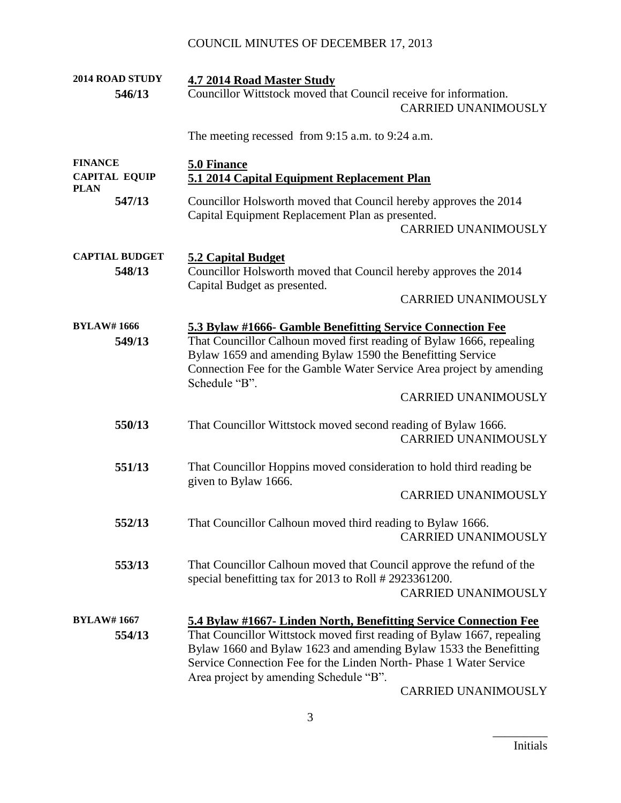| 2014 ROAD STUDY<br>546/13                             | 4.7 2014 Road Master Study<br>Councillor Wittstock moved that Council receive for information.<br><b>CARRIED UNANIMOUSLY</b>                                                                                                                                                                                                    |
|-------------------------------------------------------|---------------------------------------------------------------------------------------------------------------------------------------------------------------------------------------------------------------------------------------------------------------------------------------------------------------------------------|
|                                                       | The meeting recessed from 9:15 a.m. to 9:24 a.m.                                                                                                                                                                                                                                                                                |
| <b>FINANCE</b><br><b>CAPITAL EQUIP</b><br><b>PLAN</b> | <b>5.0 Finance</b><br>5.1 2014 Capital Equipment Replacement Plan                                                                                                                                                                                                                                                               |
| 547/13                                                | Councillor Holsworth moved that Council hereby approves the 2014<br>Capital Equipment Replacement Plan as presented.<br><b>CARRIED UNANIMOUSLY</b>                                                                                                                                                                              |
| <b>CAPTIAL BUDGET</b><br>548/13                       | <b>5.2 Capital Budget</b><br>Councillor Holsworth moved that Council hereby approves the 2014<br>Capital Budget as presented.                                                                                                                                                                                                   |
|                                                       | <b>CARRIED UNANIMOUSLY</b>                                                                                                                                                                                                                                                                                                      |
| <b>BYLAW#1666</b><br>549/13                           | 5.3 Bylaw #1666- Gamble Benefitting Service Connection Fee<br>That Councillor Calhoun moved first reading of Bylaw 1666, repealing<br>Bylaw 1659 and amending Bylaw 1590 the Benefitting Service<br>Connection Fee for the Gamble Water Service Area project by amending<br>Schedule "B".                                       |
|                                                       | <b>CARRIED UNANIMOUSLY</b>                                                                                                                                                                                                                                                                                                      |
| 550/13                                                | That Councillor Wittstock moved second reading of Bylaw 1666.<br><b>CARRIED UNANIMOUSLY</b>                                                                                                                                                                                                                                     |
| 551/13                                                | That Councillor Hoppins moved consideration to hold third reading be<br>given to Bylaw 1666.                                                                                                                                                                                                                                    |
|                                                       | <b>CARRIED UNANIMOUSLY</b>                                                                                                                                                                                                                                                                                                      |
| 552/13                                                | That Councillor Calhoun moved third reading to Bylaw 1666.<br><b>CARRIED UNANIMOUSLY</b>                                                                                                                                                                                                                                        |
| 553/13                                                | That Councillor Calhoun moved that Council approve the refund of the<br>special benefitting tax for 2013 to Roll # 2923361200.<br><b>CARRIED UNANIMOUSLY</b>                                                                                                                                                                    |
|                                                       |                                                                                                                                                                                                                                                                                                                                 |
| <b>BYLAW#1667</b><br>554/13                           | 5.4 Bylaw #1667- Linden North, Benefitting Service Connection Fee<br>That Councillor Wittstock moved first reading of Bylaw 1667, repealing<br>Bylaw 1660 and Bylaw 1623 and amending Bylaw 1533 the Benefitting<br>Service Connection Fee for the Linden North-Phase 1 Water Service<br>Area project by amending Schedule "B". |
|                                                       | CARRIED UNANIMOUSLY                                                                                                                                                                                                                                                                                                             |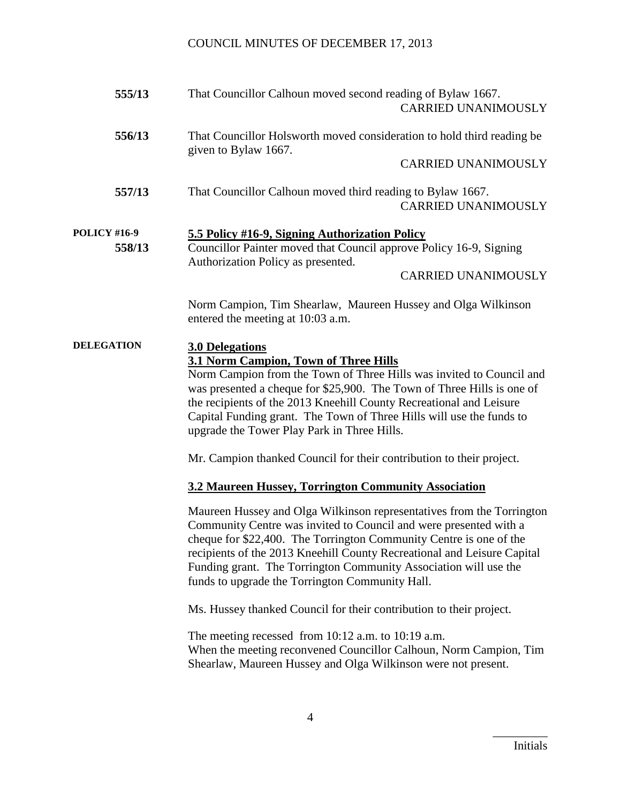| 555/13                        | That Councillor Calhoun moved second reading of Bylaw 1667.<br><b>CARRIED UNANIMOUSLY</b>                                                                                                                                                                                                                                                                                                                                                                                               |
|-------------------------------|-----------------------------------------------------------------------------------------------------------------------------------------------------------------------------------------------------------------------------------------------------------------------------------------------------------------------------------------------------------------------------------------------------------------------------------------------------------------------------------------|
| 556/13                        | That Councillor Holsworth moved consideration to hold third reading be<br>given to Bylaw 1667.<br><b>CARRIED UNANIMOUSLY</b>                                                                                                                                                                                                                                                                                                                                                            |
|                               |                                                                                                                                                                                                                                                                                                                                                                                                                                                                                         |
| 557/13                        | That Councillor Calhoun moved third reading to Bylaw 1667.<br><b>CARRIED UNANIMOUSLY</b>                                                                                                                                                                                                                                                                                                                                                                                                |
| <b>POLICY #16-9</b><br>558/13 | 5.5 Policy #16-9, Signing Authorization Policy<br>Councillor Painter moved that Council approve Policy 16-9, Signing<br>Authorization Policy as presented.<br><b>CARRIED UNANIMOUSLY</b>                                                                                                                                                                                                                                                                                                |
|                               | Norm Campion, Tim Shearlaw, Maureen Hussey and Olga Wilkinson<br>entered the meeting at 10:03 a.m.                                                                                                                                                                                                                                                                                                                                                                                      |
| <b>DELEGATION</b>             | <b>3.0 Delegations</b><br>3.1 Norm Campion, Town of Three Hills<br>Norm Campion from the Town of Three Hills was invited to Council and<br>was presented a cheque for \$25,900. The Town of Three Hills is one of<br>the recipients of the 2013 Kneehill County Recreational and Leisure<br>Capital Funding grant. The Town of Three Hills will use the funds to<br>upgrade the Tower Play Park in Three Hills.<br>Mr. Campion thanked Council for their contribution to their project. |
|                               | 3.2 Maureen Hussey, Torrington Community Association                                                                                                                                                                                                                                                                                                                                                                                                                                    |
|                               | Maureen Hussey and Olga Wilkinson representatives from the Torrington<br>Community Centre was invited to Council and were presented with a<br>cheque for \$22,400. The Torrington Community Centre is one of the<br>recipients of the 2013 Kneehill County Recreational and Leisure Capital<br>Funding grant. The Torrington Community Association will use the<br>funds to upgrade the Torrington Community Hall.                                                                      |
|                               | Ms. Hussey thanked Council for their contribution to their project.                                                                                                                                                                                                                                                                                                                                                                                                                     |
|                               | The meeting recessed from $10:12$ a.m. to $10:19$ a.m.<br>When the meeting reconvened Councillor Calhoun, Norm Campion, Tim<br>Shearlaw, Maureen Hussey and Olga Wilkinson were not present.                                                                                                                                                                                                                                                                                            |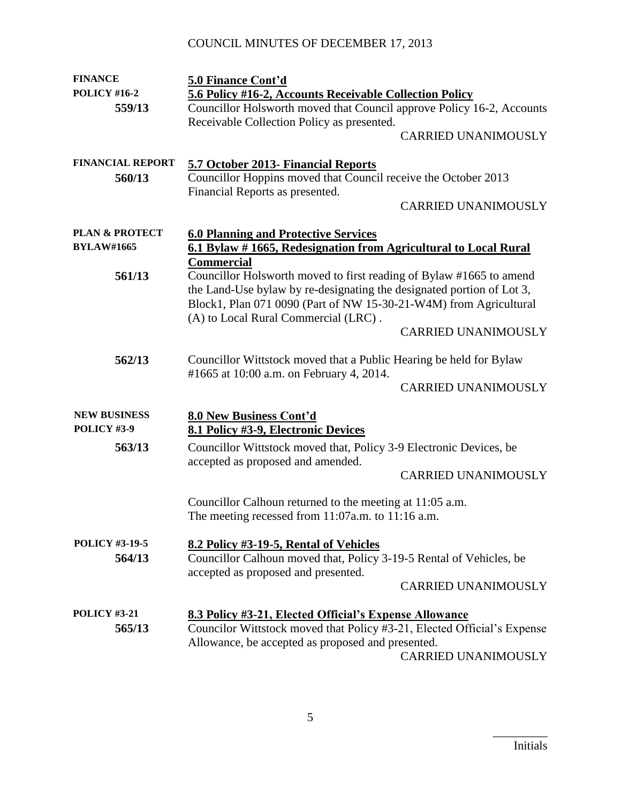| <b>FINANCE</b>            | 5.0 Finance Cont'd                                                      |
|---------------------------|-------------------------------------------------------------------------|
| <b>POLICY #16-2</b>       | 5.6 Policy #16-2, Accounts Receivable Collection Policy                 |
| 559/13                    | Councillor Holsworth moved that Council approve Policy 16-2, Accounts   |
|                           | Receivable Collection Policy as presented.                              |
|                           | <b>CARRIED UNANIMOUSLY</b>                                              |
|                           |                                                                         |
| <b>FINANCIAL REPORT</b>   | 5.7 October 2013- Financial Reports                                     |
| 560/13                    | Councillor Hoppins moved that Council receive the October 2013          |
|                           | Financial Reports as presented.                                         |
|                           | <b>CARRIED UNANIMOUSLY</b>                                              |
|                           |                                                                         |
| <b>PLAN &amp; PROTECT</b> | <b>6.0 Planning and Protective Services</b>                             |
| <b>BYLAW#1665</b>         | 6.1 Bylaw #1665, Redesignation from Agricultural to Local Rural         |
|                           | <b>Commercial</b>                                                       |
| 561/13                    | Councillor Holsworth moved to first reading of Bylaw #1665 to amend     |
|                           | the Land-Use bylaw by re-designating the designated portion of Lot 3,   |
|                           | Block1, Plan 071 0090 (Part of NW 15-30-21-W4M) from Agricultural       |
|                           | (A) to Local Rural Commercial (LRC).<br><b>CARRIED UNANIMOUSLY</b>      |
|                           |                                                                         |
| 562/13                    | Councillor Wittstock moved that a Public Hearing be held for Bylaw      |
|                           | #1665 at 10:00 a.m. on February 4, 2014.                                |
|                           | <b>CARRIED UNANIMOUSLY</b>                                              |
|                           |                                                                         |
| <b>NEW BUSINESS</b>       | 8.0 New Business Cont'd                                                 |
| POLICY #3-9               | 8.1 Policy #3-9, Electronic Devices                                     |
| 563/13                    | Councillor Wittstock moved that, Policy 3-9 Electronic Devices, be      |
|                           | accepted as proposed and amended.                                       |
|                           | <b>CARRIED UNANIMOUSLY</b>                                              |
|                           |                                                                         |
|                           | Councillor Calhoun returned to the meeting at 11:05 a.m.                |
|                           | The meeting recessed from 11:07a.m. to 11:16 a.m.                       |
|                           |                                                                         |
| <b>POLICY #3-19-5</b>     | 8.2 Policy #3-19-5, Rental of Vehicles                                  |
| 564/13                    | Councillor Calhoun moved that, Policy 3-19-5 Rental of Vehicles, be     |
|                           | accepted as proposed and presented.<br><b>CARRIED UNANIMOUSLY</b>       |
|                           |                                                                         |
| <b>POLICY #3-21</b>       | 8.3 Policy #3-21, Elected Official's Expense Allowance                  |
| 565/13                    | Councilor Wittstock moved that Policy #3-21, Elected Official's Expense |
|                           | Allowance, be accepted as proposed and presented.                       |
|                           | <b>CARRIED UNANIMOUSLY</b>                                              |
|                           |                                                                         |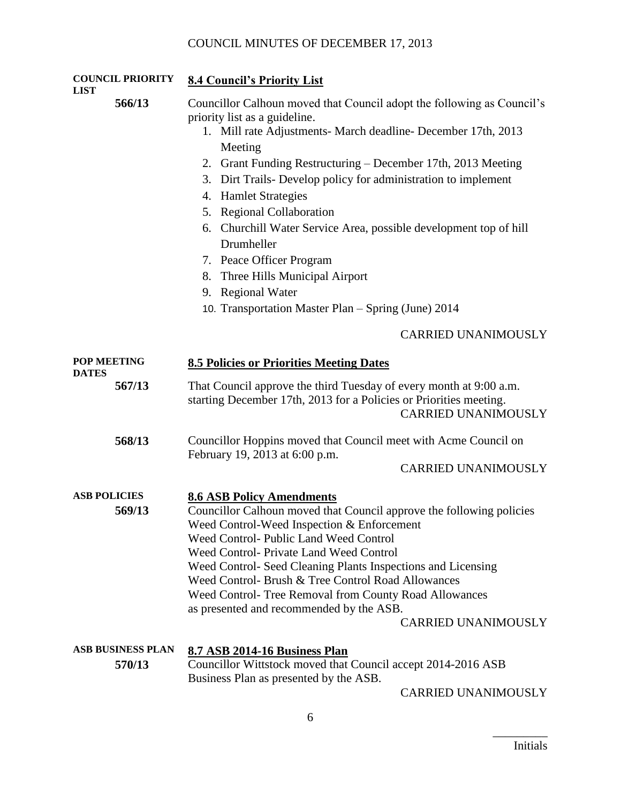| <b>COUNCIL PRIORITY</b><br>LIST    | 8.4 Council's Priority List                                                                                                                                                                                                                                                                                                                                                                                                                                                                                                                                                                                        |
|------------------------------------|--------------------------------------------------------------------------------------------------------------------------------------------------------------------------------------------------------------------------------------------------------------------------------------------------------------------------------------------------------------------------------------------------------------------------------------------------------------------------------------------------------------------------------------------------------------------------------------------------------------------|
| 566/13                             | Councillor Calhoun moved that Council adopt the following as Council's<br>priority list as a guideline.<br>1. Mill rate Adjustments- March deadline- December 17th, 2013<br>Meeting<br>2. Grant Funding Restructuring – December 17th, 2013 Meeting<br>3. Dirt Trails-Develop policy for administration to implement<br><b>Hamlet Strategies</b><br>4.<br>5. Regional Collaboration<br>6. Churchill Water Service Area, possible development top of hill<br>Drumheller<br>7. Peace Officer Program<br>8. Three Hills Municipal Airport<br>9. Regional Water<br>10. Transportation Master Plan - Spring (June) 2014 |
|                                    | <b>CARRIED UNANIMOUSLY</b>                                                                                                                                                                                                                                                                                                                                                                                                                                                                                                                                                                                         |
| POP MEETING<br><b>DATES</b>        | <b>8.5 Policies or Priorities Meeting Dates</b>                                                                                                                                                                                                                                                                                                                                                                                                                                                                                                                                                                    |
| 567/13                             | That Council approve the third Tuesday of every month at 9:00 a.m.<br>starting December 17th, 2013 for a Policies or Priorities meeting.<br><b>CARRIED UNANIMOUSLY</b>                                                                                                                                                                                                                                                                                                                                                                                                                                             |
| 568/13                             | Councillor Hoppins moved that Council meet with Acme Council on<br>February 19, 2013 at 6:00 p.m.<br><b>CARRIED UNANIMOUSLY</b>                                                                                                                                                                                                                                                                                                                                                                                                                                                                                    |
| <b>ASB POLICIES</b><br>569/13      | <b>8.6 ASB Policy Amendments</b><br>Councillor Calhoun moved that Council approve the following policies<br>Weed Control-Weed Inspection & Enforcement<br>Weed Control-Public Land Weed Control<br>Weed Control- Private Land Weed Control<br>Weed Control- Seed Cleaning Plants Inspections and Licensing<br>Weed Control- Brush & Tree Control Road Allowances<br>Weed Control- Tree Removal from County Road Allowances<br>as presented and recommended by the ASB.<br><b>CARRIED UNANIMOUSLY</b>                                                                                                               |
| <b>ASB BUSINESS PLAN</b><br>570/13 | 8.7 ASB 2014-16 Business Plan<br>Councillor Wittstock moved that Council accept 2014-2016 ASB<br>Business Plan as presented by the ASB.                                                                                                                                                                                                                                                                                                                                                                                                                                                                            |

CARRIED UNANIMOUSLY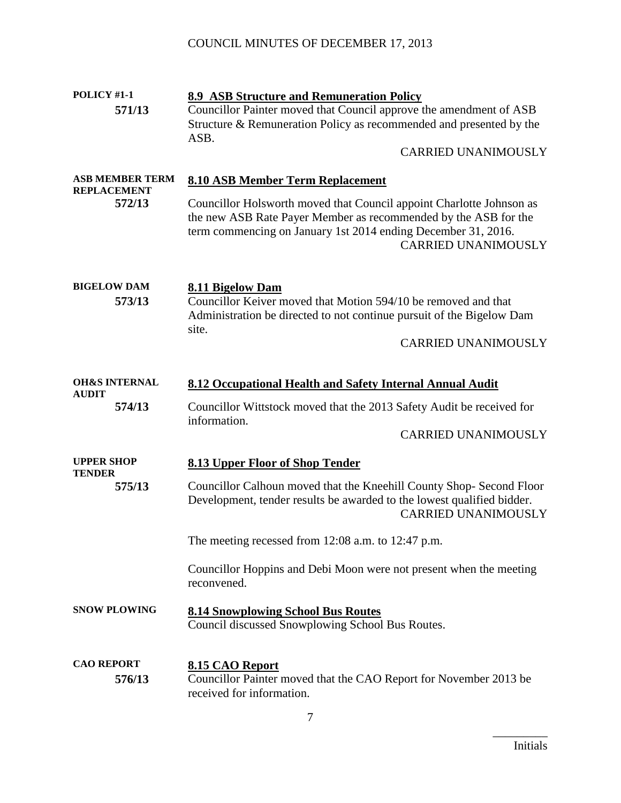| POLICY #1-1                                  | <b>8.9 ASB Structure and Remuneration Policy</b>                                                                                                                                                                                       |
|----------------------------------------------|----------------------------------------------------------------------------------------------------------------------------------------------------------------------------------------------------------------------------------------|
| 571/13                                       | Councillor Painter moved that Council approve the amendment of ASB                                                                                                                                                                     |
|                                              | Structure & Remuneration Policy as recommended and presented by the                                                                                                                                                                    |
|                                              | ASB.                                                                                                                                                                                                                                   |
|                                              | <b>CARRIED UNANIMOUSLY</b>                                                                                                                                                                                                             |
| <b>ASB MEMBER TERM</b><br><b>REPLACEMENT</b> | <b>8.10 ASB Member Term Replacement</b>                                                                                                                                                                                                |
| 572/13                                       | Councillor Holsworth moved that Council appoint Charlotte Johnson as<br>the new ASB Rate Payer Member as recommended by the ASB for the<br>term commencing on January 1st 2014 ending December 31, 2016.<br><b>CARRIED UNANIMOUSLY</b> |
| <b>BIGELOW DAM</b>                           | 8.11 Bigelow Dam                                                                                                                                                                                                                       |
| 573/13                                       | Councillor Keiver moved that Motion 594/10 be removed and that<br>Administration be directed to not continue pursuit of the Bigelow Dam                                                                                                |
|                                              | site.<br><b>CARRIED UNANIMOUSLY</b>                                                                                                                                                                                                    |
|                                              |                                                                                                                                                                                                                                        |
|                                              |                                                                                                                                                                                                                                        |
| <b>OH&amp;S INTERNAL</b><br><b>AUDIT</b>     | 8.12 Occupational Health and Safety Internal Annual Audit                                                                                                                                                                              |
| 574/13                                       | Councillor Wittstock moved that the 2013 Safety Audit be received for<br>information.                                                                                                                                                  |
|                                              | <b>CARRIED UNANIMOUSLY</b>                                                                                                                                                                                                             |
| <b>UPPER SHOP</b><br><b>TENDER</b>           | <b>8.13 Upper Floor of Shop Tender</b>                                                                                                                                                                                                 |
| 575/13                                       | Councillor Calhoun moved that the Kneehill County Shop- Second Floor<br>Development, tender results be awarded to the lowest qualified bidder.<br><b>CARRIED UNANIMOUSLY</b>                                                           |
|                                              | The meeting recessed from $12:08$ a.m. to $12:47$ p.m.                                                                                                                                                                                 |
|                                              | Councillor Hoppins and Debi Moon were not present when the meeting<br>reconvened.                                                                                                                                                      |
| <b>SNOW PLOWING</b>                          | <b>8.14 Snowplowing School Bus Routes</b><br>Council discussed Snowplowing School Bus Routes.                                                                                                                                          |
| <b>CAO REPORT</b><br>576/13                  | 8.15 CAO Report<br>Councillor Painter moved that the CAO Report for November 2013 be<br>received for information.                                                                                                                      |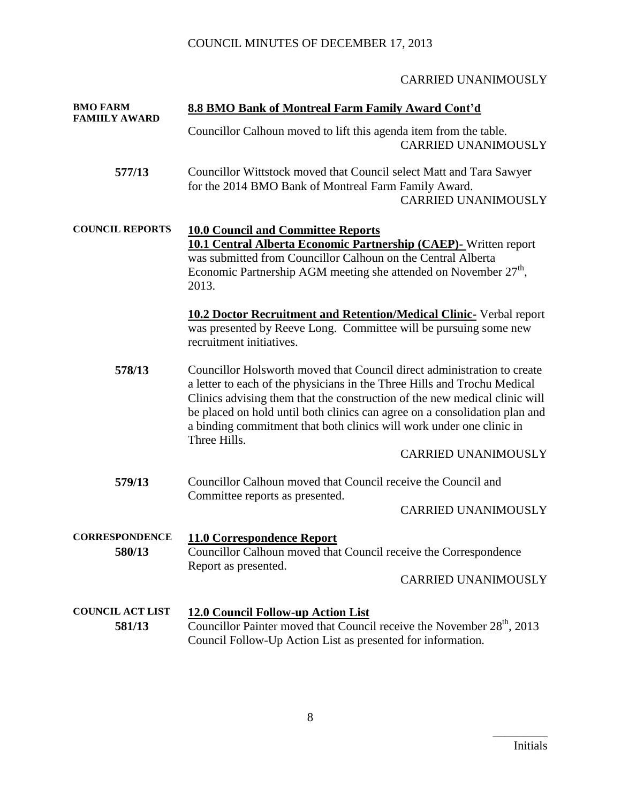#### CARRIED UNANIMOUSLY

| <b>BMO FARM</b><br><b>FAMIILY AWARD</b> | 8.8 BMO Bank of Montreal Farm Family Award Cont'd                                                                                                                                                                                                                                                                                                                                                       |
|-----------------------------------------|---------------------------------------------------------------------------------------------------------------------------------------------------------------------------------------------------------------------------------------------------------------------------------------------------------------------------------------------------------------------------------------------------------|
|                                         | Councillor Calhoun moved to lift this agenda item from the table.<br><b>CARRIED UNANIMOUSLY</b>                                                                                                                                                                                                                                                                                                         |
| 577/13                                  | Councillor Wittstock moved that Council select Matt and Tara Sawyer<br>for the 2014 BMO Bank of Montreal Farm Family Award.<br><b>CARRIED UNANIMOUSLY</b>                                                                                                                                                                                                                                               |
| <b>COUNCIL REPORTS</b>                  | <b>10.0 Council and Committee Reports</b><br>10.1 Central Alberta Economic Partnership (CAEP)- Written report<br>was submitted from Councillor Calhoun on the Central Alberta<br>Economic Partnership AGM meeting she attended on November 27 <sup>th</sup> ,<br>2013.                                                                                                                                  |
|                                         | <b>10.2 Doctor Recruitment and Retention/Medical Clinic- Verbal report</b><br>was presented by Reeve Long. Committee will be pursuing some new<br>recruitment initiatives.                                                                                                                                                                                                                              |
| 578/13                                  | Councillor Holsworth moved that Council direct administration to create<br>a letter to each of the physicians in the Three Hills and Trochu Medical<br>Clinics advising them that the construction of the new medical clinic will<br>be placed on hold until both clinics can agree on a consolidation plan and<br>a binding commitment that both clinics will work under one clinic in<br>Three Hills. |
|                                         | <b>CARRIED UNANIMOUSLY</b>                                                                                                                                                                                                                                                                                                                                                                              |
| 579/13                                  | Councillor Calhoun moved that Council receive the Council and                                                                                                                                                                                                                                                                                                                                           |
|                                         | Committee reports as presented.<br><b>CARRIED UNANIMOUSLY</b>                                                                                                                                                                                                                                                                                                                                           |
| <b>CORRESPONDENCE</b><br>580/13         | 11.0 Correspondence Report<br>Councillor Calhoun moved that Council receive the Correspondence<br>Report as presented.<br><b>CARRIED UNANIMOUSLY</b>                                                                                                                                                                                                                                                    |
| <b>COUNCIL ACT LIST</b><br>581/13       | 12.0 Council Follow-up Action List<br>Councillor Painter moved that Council receive the November 28 <sup>th</sup> , 2013<br>Council Follow-Up Action List as presented for information.                                                                                                                                                                                                                 |